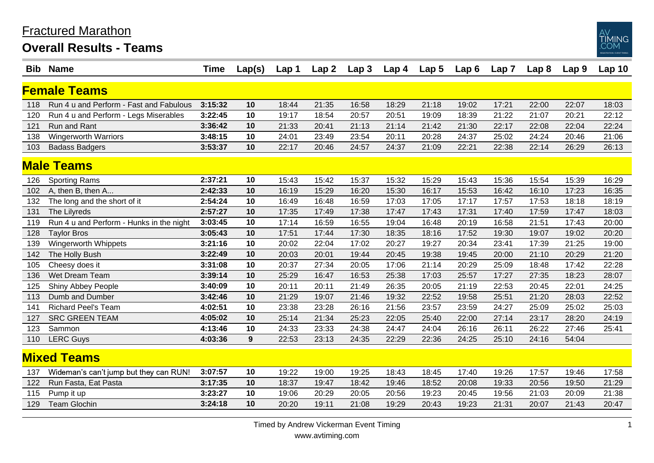## Fractured Marathon

**Overall Results - Teams**



| Bib.               | <b>Name</b>                              | <b>Time</b> | Lap(s) | Lap 1 | Lap <sub>2</sub> | Lap <sub>3</sub> | Lap 4 | Lap <sub>5</sub> | Lap6  | Lap7  | Lap <sub>8</sub> | Lap <sub>9</sub> | Lap <sub>10</sub> |
|--------------------|------------------------------------------|-------------|--------|-------|------------------|------------------|-------|------------------|-------|-------|------------------|------------------|-------------------|
|                    | <b>Female Teams</b>                      |             |        |       |                  |                  |       |                  |       |       |                  |                  |                   |
| 118                | Run 4 u and Perform - Fast and Fabulous  | 3:15:32     | 10     | 18:44 | 21:35            | 16:58            | 18:29 | 21:18            | 19:02 | 17:21 | 22:00            | 22:07            | 18:03             |
| 120                | Run 4 u and Perform - Legs Miserables    | 3:22:45     | 10     | 19:17 | 18:54            | 20:57            | 20:51 | 19:09            | 18:39 | 21:22 | 21:07            | 20:21            | 22:12             |
| 121                | Run and Rant                             | 3:36:42     | 10     | 21:33 | 20:41            | 21:13            | 21:14 | 21:42            | 21:30 | 22:17 | 22:08            | 22:04            | 22:24             |
| 138                | <b>Wingerworth Warriors</b>              | 3:48:15     | 10     | 24:01 | 23:49            | 23:54            | 20:11 | 20:28            | 24:37 | 25:02 | 24:24            | 20:46            | 21:06             |
| 103                | <b>Badass Badgers</b>                    | 3:53:37     | 10     | 22:17 | 20:46            | 24:57            | 24:37 | 21:09            | 22:21 | 22:38 | 22:14            | 26:29            | 26:13             |
| <b>Male Teams</b>  |                                          |             |        |       |                  |                  |       |                  |       |       |                  |                  |                   |
| 126                | <b>Sporting Rams</b>                     | 2:37:21     | 10     | 15:43 | 15:42            | 15:37            | 15:32 | 15:29            | 15:43 | 15:36 | 15:54            | 15:39            | 16:29             |
| 102                | A, then B, then A                        | 2:42:33     | 10     | 16:19 | 15:29            | 16:20            | 15:30 | 16:17            | 15:53 | 16:42 | 16:10            | 17:23            | 16:35             |
| 132                | The long and the short of it             | 2:54:24     | 10     | 16:49 | 16:48            | 16:59            | 17:03 | 17:05            | 17:17 | 17:57 | 17:53            | 18:18            | 18:19             |
| 131                | The Lilyreds                             | 2:57:27     | 10     | 17:35 | 17:49            | 17:38            | 17:47 | 17:43            | 17:31 | 17:40 | 17:59            | 17:47            | 18:03             |
| 119                | Run 4 u and Perform - Hunks in the night | 3:03:45     | 10     | 17:14 | 16:59            | 16:55            | 19:04 | 16:48            | 20:19 | 16:58 | 21:51            | 17:43            | 20:00             |
| 128                | <b>Taylor Bros</b>                       | 3:05:43     | 10     | 17:51 | 17:44            | 17:30            | 18:35 | 18:16            | 17:52 | 19:30 | 19:07            | 19:02            | 20:20             |
| 139                | Wingerworth Whippets                     | 3:21:16     | 10     | 20:02 | 22:04            | 17:02            | 20:27 | 19:27            | 20:34 | 23:41 | 17:39            | 21:25            | 19:00             |
| 142                | The Holly Bush                           | 3:22:49     | 10     | 20:03 | 20:01            | 19:44            | 20:45 | 19:38            | 19:45 | 20:00 | 21:10            | 20:29            | 21:20             |
| 105                | Cheesy does it                           | 3:31:08     | 10     | 20:37 | 27:34            | 20:05            | 17:06 | 21:14            | 20:29 | 25:09 | 18:48            | 17:42            | 22:28             |
| 136                | Wet Dream Team                           | 3:39:14     | 10     | 25:29 | 16:47            | 16:53            | 25:38 | 17:03            | 25:57 | 17:27 | 27:35            | 18:23            | 28:07             |
| 125                | Shiny Abbey People                       | 3:40:09     | 10     | 20:11 | 20:11            | 21:49            | 26:35 | 20:05            | 21:19 | 22:53 | 20:45            | 22:01            | 24:25             |
| 113                | Dumb and Dumber                          | 3:42:46     | 10     | 21:29 | 19:07            | 21:46            | 19:32 | 22:52            | 19:58 | 25:51 | 21:20            | 28:03            | 22:52             |
| 141                | <b>Richard Peel's Team</b>               | 4:02:51     | 10     | 23:38 | 23:28            | 26:16            | 21:56 | 23:57            | 23:59 | 24:27 | 25:09            | 25:02            | 25:03             |
| 127                | <b>SRC GREEN TEAM</b>                    | 4:05:02     | 10     | 25:14 | 21:34            | 25:23            | 22:05 | 25:40            | 22:00 | 27:14 | 23:17            | 28:20            | 24:19             |
| 123                | Sammon                                   | 4:13:46     | 10     | 24:33 | 23:33            | 24:38            | 24:47 | 24:04            | 26:16 | 26:11 | 26:22            | 27:46            | 25:41             |
| 110                | <b>LERC Guys</b>                         | 4:03:36     | 9      | 22:53 | 23:13            | 24:35            | 22:29 | 22:36            | 24:25 | 25:10 | 24:16            | 54:04            |                   |
| <b>Mixed Teams</b> |                                          |             |        |       |                  |                  |       |                  |       |       |                  |                  |                   |
| 137                | Wideman's can't jump but they can RUN!   | 3:07:57     | 10     | 19:22 | 19:00            | 19:25            | 18:43 | 18:45            | 17:40 | 19:26 | 17:57            | 19:46            | 17:58             |
| 122                | Run Fasta, Eat Pasta                     | 3:17:35     | 10     | 18:37 | 19:47            | 18:42            | 19:46 | 18:52            | 20:08 | 19:33 | 20:56            | 19:50            | 21:29             |
| 115                | Pump it up                               | 3:23:27     | 10     | 19:06 | 20:29            | 20:05            | 20:56 | 19:23            | 20:45 | 19:56 | 21:03            | 20:09            | 21:38             |
| 129                | <b>Team Glochin</b>                      | 3:24:18     | 10     | 20:20 | 19:11            | 21:08            | 19:29 | 20:43            | 19:23 | 21:31 | 20:07            | 21:43            | 20:47             |